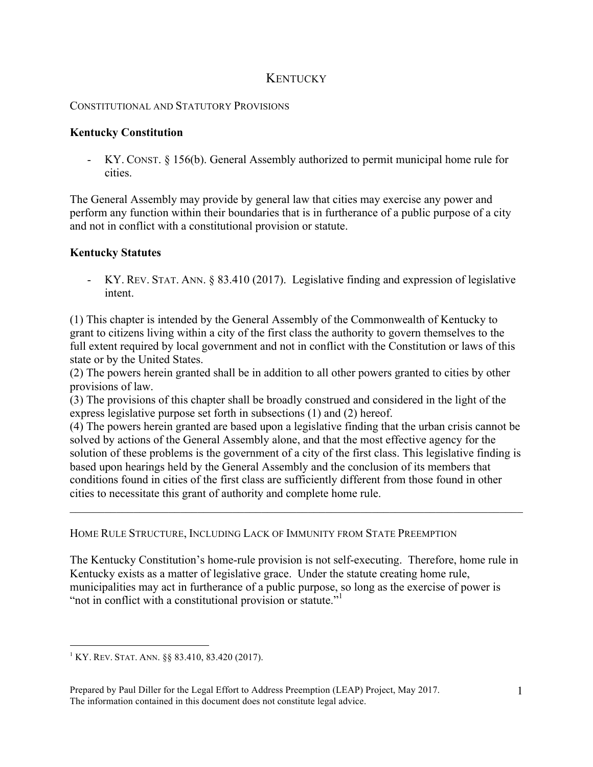## **KENTUCKY**

## CONSTITUTIONAL AND STATUTORY PROVISIONS

## **Kentucky Constitution**

- KY. CONST. § 156(b). General Assembly authorized to permit municipal home rule for cities.

The General Assembly may provide by general law that cities may exercise any power and perform any function within their boundaries that is in furtherance of a public purpose of a city and not in conflict with a constitutional provision or statute.

## **Kentucky Statutes**

- KY. REV. STAT. ANN. § 83.410 (2017). Legislative finding and expression of legislative intent.

(1) This chapter is intended by the General Assembly of the Commonwealth of Kentucky to grant to citizens living within a city of the first class the authority to govern themselves to the full extent required by local government and not in conflict with the Constitution or laws of this state or by the United States.

(2) The powers herein granted shall be in addition to all other powers granted to cities by other provisions of law.

(3) The provisions of this chapter shall be broadly construed and considered in the light of the express legislative purpose set forth in subsections (1) and (2) hereof.

(4) The powers herein granted are based upon a legislative finding that the urban crisis cannot be solved by actions of the General Assembly alone, and that the most effective agency for the solution of these problems is the government of a city of the first class. This legislative finding is based upon hearings held by the General Assembly and the conclusion of its members that conditions found in cities of the first class are sufficiently different from those found in other cities to necessitate this grant of authority and complete home rule.

 $\mathcal{L}_\mathcal{L} = \{ \mathcal{L}_\mathcal{L} = \{ \mathcal{L}_\mathcal{L} = \{ \mathcal{L}_\mathcal{L} = \{ \mathcal{L}_\mathcal{L} = \{ \mathcal{L}_\mathcal{L} = \{ \mathcal{L}_\mathcal{L} = \{ \mathcal{L}_\mathcal{L} = \{ \mathcal{L}_\mathcal{L} = \{ \mathcal{L}_\mathcal{L} = \{ \mathcal{L}_\mathcal{L} = \{ \mathcal{L}_\mathcal{L} = \{ \mathcal{L}_\mathcal{L} = \{ \mathcal{L}_\mathcal{L} = \{ \mathcal{L}_\mathcal{$ 

HOME RULE STRUCTURE, INCLUDING LACK OF IMMUNITY FROM STATE PREEMPTION

The Kentucky Constitution's home-rule provision is not self-executing. Therefore, home rule in Kentucky exists as a matter of legislative grace. Under the statute creating home rule, municipalities may act in furtherance of a public purpose, so long as the exercise of power is "not in conflict with a constitutional provision or statute."<sup>1</sup>

 $1$  KY. REV. STAT. ANN.  $\S$ § 83.410, 83.420 (2017).

Prepared by Paul Diller for the Legal Effort to Address Preemption (LEAP) Project, May 2017. The information contained in this document does not constitute legal advice.